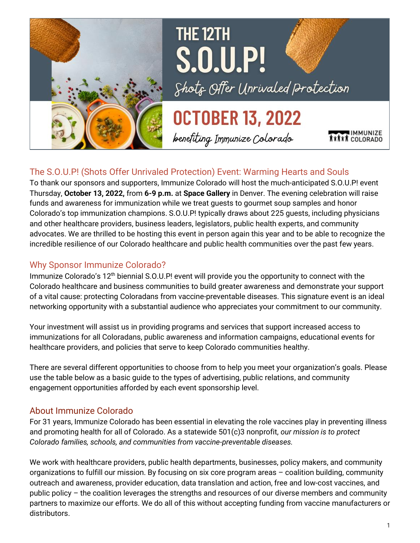

# THE 12TH **S.O.U.P!** Shots Offer Unrivaled Protection

# **OCTOBER 13, 2022**

benefiting Immunize Colorado

### The S.O.U.P! (Shots Offer Unrivaled Protection) Event: Warming Hearts and Souls

To thank our sponsors and supporters, Immunize Colorado will host the much-anticipated S.O.U.P! event Thursday, **October 13, 2022,** from **6-9 p.m.** at **Space Gallery** in Denver. The evening celebration will raise funds and awareness for immunization while we treat guests to gourmet soup samples and honor Colorado's top immunization champions. S.O.U.P! typically draws about 225 guests, including physicians and other healthcare providers, business leaders, legislators, public health experts, and community advocates. We are thrilled to be hosting this event in person again this year and to be able to recognize the incredible resilience of our Colorado healthcare and public health communities over the past few years.

#### Why Sponsor Immunize Colorado?

Immunize Colorado's 12<sup>th</sup> biennial S.O.U.P! event will provide you the opportunity to connect with the Colorado healthcare and business communities to build greater awareness and demonstrate your support of a vital cause: protecting Coloradans from vaccine-preventable diseases. This signature event is an ideal networking opportunity with a substantial audience who appreciates your commitment to our community.

Your investment will assist us in providing programs and services that support increased access to immunizations for all Coloradans, public awareness and information campaigns, educational events for healthcare providers, and policies that serve to keep Colorado communities healthy.

There are several different opportunities to choose from to help you meet your organization's goals. Please use the table below as a basic guide to the types of advertising, public relations, and community engagement opportunities afforded by each event sponsorship level.

#### About Immunize Colorado

For 31 years, Immunize Colorado has been essential in elevating the role vaccines play in preventing illness and promoting health for all of Colorado. As a statewide 501(c)3 nonprofit, *our mission is to protect Colorado families, schools, and communities from vaccine-preventable diseases.*

We work with healthcare providers, public health departments, businesses, policy makers, and community organizations to fulfill our mission. By focusing on six core program areas – coalition building, community outreach and awareness, provider education, data translation and action, free and low-cost vaccines, and public policy – the coalition leverages the strengths and resources of our diverse members and community partners to maximize our efforts. We do all of this without accepting funding from vaccine manufacturers or distributors.

COLORADO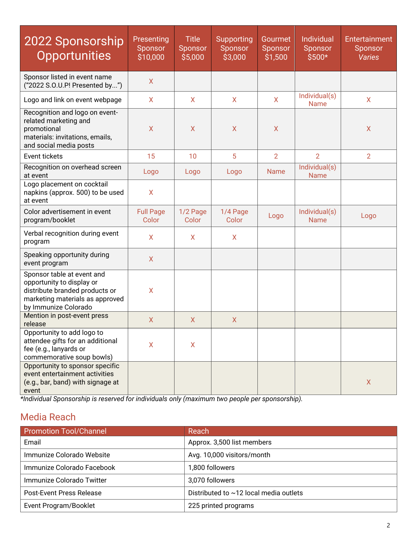| 2022 Sponsorship<br><b>Opportunities</b>                                                                                                             | Presenting<br>Sponsor<br>\$10,000 | <b>Title</b><br>Sponsor<br>\$5,000 | Supporting<br>Sponsor<br>\$3,000 | Gourmet<br>Sponsor<br>\$1,500 | Individual<br>Sponsor<br>$$500*$ | Entertainment<br>Sponsor<br><b>Varies</b> |
|------------------------------------------------------------------------------------------------------------------------------------------------------|-----------------------------------|------------------------------------|----------------------------------|-------------------------------|----------------------------------|-------------------------------------------|
| Sponsor listed in event name<br>("2022 S.O.U.P! Presented by")                                                                                       | $\mathsf{X}$                      |                                    |                                  |                               |                                  |                                           |
| Logo and link on event webpage                                                                                                                       | $\mathsf{X}$                      | X                                  | X                                | X                             | Individual(s)<br><b>Name</b>     | X                                         |
| Recognition and logo on event-<br>related marketing and<br>promotional<br>materials: invitations, emails,<br>and social media posts                  | $\mathsf{X}$                      | X                                  | $\mathsf{X}$                     | X                             |                                  | X                                         |
| Event tickets                                                                                                                                        | 15                                | 10                                 | 5                                | $\overline{2}$                | $\overline{2}$                   | $\overline{2}$                            |
| Recognition on overhead screen<br>at event                                                                                                           | Logo                              | Logo                               | Logo                             | <b>Name</b>                   | Individual(s)<br><b>Name</b>     |                                           |
| Logo placement on cocktail<br>napkins (approx. 500) to be used<br>at event                                                                           | $\mathsf{X}$                      |                                    |                                  |                               |                                  |                                           |
| Color advertisement in event<br>program/booklet                                                                                                      | <b>Full Page</b><br>Color         | 1/2 Page<br>Color                  | 1/4 Page<br>Color                | Logo                          | Individual(s)<br><b>Name</b>     | Logo                                      |
| Verbal recognition during event<br>program                                                                                                           | $\mathsf{X}$                      | X                                  | $\mathsf{X}$                     |                               |                                  |                                           |
| Speaking opportunity during<br>event program                                                                                                         | $\mathsf{X}$                      |                                    |                                  |                               |                                  |                                           |
| Sponsor table at event and<br>opportunity to display or<br>distribute branded products or<br>marketing materials as approved<br>by Immunize Colorado | $\mathsf{X}$                      |                                    |                                  |                               |                                  |                                           |
| Mention in post-event press<br>release                                                                                                               | $\mathsf{X}$                      | $\mathsf{X}$                       | $\mathsf{X}$                     |                               |                                  |                                           |
| Opportunity to add logo to<br>attendee gifts for an additional<br>fee (e.g., lanyards or<br>commemorative soup bowls)                                | $\sf X$                           | $\mathsf{X}$                       |                                  |                               |                                  |                                           |
| Opportunity to sponsor specific<br>event entertainment activities<br>(e.g., bar, band) with signage at<br>event                                      |                                   |                                    |                                  |                               |                                  | $\mathsf{X}$                              |

*\*Individual Sponsorship is reserved for individuals only (maximum two people per sponsorship).*

### Media Reach

| <b>Promotion Tool/Channel</b> | Reach                                  |
|-------------------------------|----------------------------------------|
| Email                         | Approx. 3,500 list members             |
| Immunize Colorado Website     | Avg. 10,000 visitors/month             |
| Immunize Colorado Facebook    | 1,800 followers                        |
| Immunize Colorado Twitter     | 3,070 followers                        |
| Post-Event Press Release      | Distributed to ~12 local media outlets |
| Event Program/Booklet         | 225 printed programs                   |